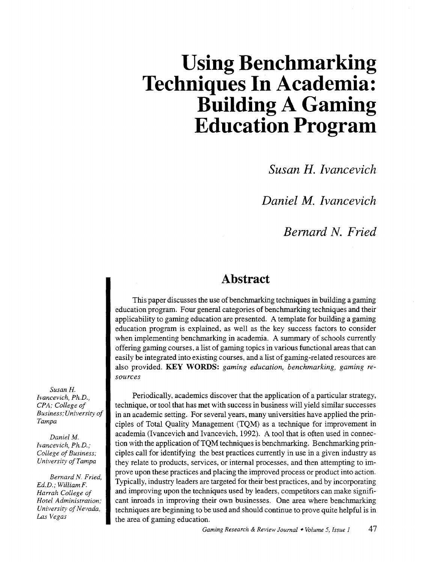# **Using Benchmarking Techniques In Academia: Building A Gaming Education Program**

*Susan H. Ivancevich* 

*Daniel M. lvancevich* 

*Bernard N. Fried* 

# **Abstract**

This paper discusses the use of benchmarking techniques in building a gaming education program. Four general categories of benchmarking techniques and their applicability to gaming education are presented. A template for building a gaming education program is explained, as well as the key success factors to consider when implementing benchmarking in academia. A summary of schools currently offering gaming courses, a list of gaming topics in various functional areas that can easily be integrated into existing courses, and a list of gaming-related resources are also provided. KEY WORDS: *gaming education, benchmarking, gaming resources* 

Periodically, academics discover that the application of a particular strategy, technique, or tool that has met with success in business will yield similar successes in an academic setting. For several years, many universities have applied the principles of Total Quality Management (TQM) as a technique for improvement in academia (Ivancevich and Ivancevich, 1992). A tool that is often used in connection with the application ofTQM techniques is benchmarking. Benchmarking principles call for identifying the best practices currently in use in a given industry as they relate to products, services, or internal processes, and then attempting to improve upon these practices and placing the improved process or product into action. Typically, industry leaders are targeted for their best practices, and by incorporating and improving upon the techniques used by leaders, competitors can make significant inroads in improving their own businesses. One area where benchmarking techniques are beginning to be used and should continue to prove quite helpful is in the area of gaming education.

*Susan H. lvancevich, Ph.D., CPA; College of Business; University of Tampa* 

*Daniel* M. *lvancevich, Ph.D.; College of Business; University ofTampa* 

*Bernard N. Fried, Ed.D.; William* F. *Harrah College of Hotel Administration; University of Nevada, Las Vegas*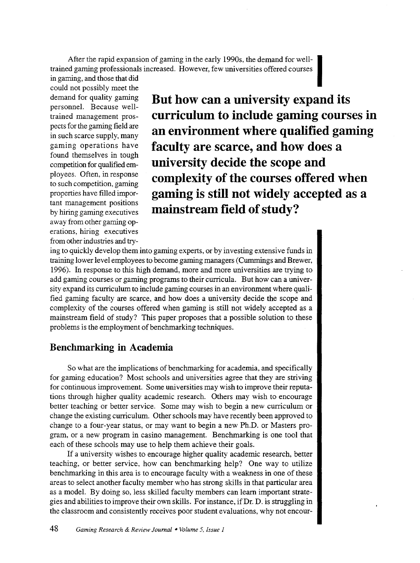After the rapid expansion of gaming in the early 1990s, the demand for well-~ trained gaming professionals increased. However, few universities offered courses

in gaming, and those that did could not possibly meet the personnel. Because wellfound themselves in tough to such competition, gaming away from other gaming operations, hiring executives from other industries and try-

demand for quality gaming **But how can a university expand its**  trained management pros-<br>pects for the gaming field are<br>**contained and are all the set of the gaming field are** pects for the gaming field are **an environment where qualified gamin** in such scarce supply, many **an environment where qualified gaming** gaming operations have **faculty are scarce and how does a**  competition for qualified em-<br>**university decide the scope and** ployees. Often, in response **COMPLEXITY Of the COURSES Offered When** properties have filled impor-<br>tant management positions<br> $\bullet$  **gaming is still not widely accepted as a** tant management positions **mainstream field of study?** 

ing to quickly develop them into gaming experts, or by investing extensive funds in training lower level employees to become gaming managers (Cummings and Brewer, 1996). In response to this high demand, more and more universities are trying to add gaming courses or gaming programs to their curricula. But how can a university expand its curriculum to include gaming courses in an environment where qualified gaming faculty are scarce, and how does a university decide the scope and complexity of the courses offered when gaming is still not widely accepted as a mainstream field of study? This paper proposes that a possible solution to these problems is the employment of benchmarking techniques.

#### **Benchmarking in Academia**

So what are the implications of benchmarking for academia, and specifically for gaming education? Most schools and universities agree that they are striving for continuous improvement. Some universities may wish to improve their reputations through higher quality academic research. Others may wish to encourage better teaching or better service. Some may wish to begin a new curriculum or change the existing curriculum. Other schools may have recently been approved to change to a four-year status, or may want to begin a new Ph.D. or Masters program, or a new program in casino management. Benchmarking is one tool that each of these schools may use to help them achieve their goals.

If a university wishes to encourage higher quality academic research, better teaching, or better service, how can benchmarking help? One way to utilize benchmarking in this area is to encourage faculty with a weakness in one of these areas to select another faculty member who has strong skills in that particular area as a model. By doing so, less skilled faculty members can learn important strategies and abilities to improve their own skills. For instance, if Dr. D. is struggling in the classroom and consistently receives poor student evaluations, why not encour-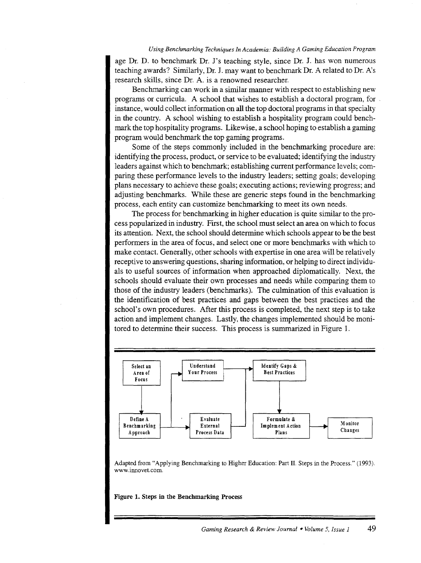#### *Using Benchmarking Techniques In Academia: Building A Gaming Education Program*

age Dr. D. to benchmark Dr. J's teaching style, since Dr. J. has won numerous teaching awards? Similarly, Dr. J. may want to benchmark Dr. A related to Dr. A's research skills, since Dr. A. is a renowned researcher.

Benchmarking can work in a similar manner with respect to establishing new programs or curricula. A school that wishes to establish a doctoral program, for . instance, would collect information on all the top doctoral programs in that specialty in the country. A school wishing to establish a hospitality program could benchmark the top hospitality programs. Likewise, a school hoping to establish a gaming program would benchmark the top gaming programs.

Some of the steps commonly included in the benchmarking procedure are: identifying the process, product, or service to be evaluated; identifying the industry leaders against which to benchmark; establishing current performance levels; comparing these performance levels to the industry leaders; setting goals; developing plans necessary to achieve these goals; executing actions; reviewing progress; and adjusting benchmarks. While these are generic steps found in the benchmarking process, each entity can customize benchmarking to meet its own needs.

The process for benchmarking in higher education is quite similar to the process popularized in industry. First, the school must select an area on which to focus its attention. Next, the school should determine which schools appear to be the best performers in the area of focus, and select one or more benchmarks with which to make contact. Generally, other schools with expertise in one area will be relatively receptive to answering questions, sharing information, or helping to direct individuals to useful sources of information when approached diplomatically. Next, the schools should evaluate their own processes and needs while comparing them to those of the industry leaders (benchmarks). The culmination of this evaluation is the identification of best practices and gaps between the best practices and the school's own procedures. After this process is completed, the next step is to take action and implement changes. Lastly, the changes implemented should be monitored to determine their success. This process is summarized in Figure 1.



Adapted from "Applying Benchmarking to Higher Education: Part II. Steps in the Process." (1993). www.innovet.com.

Figure 1. Steps in the Benchmarking Process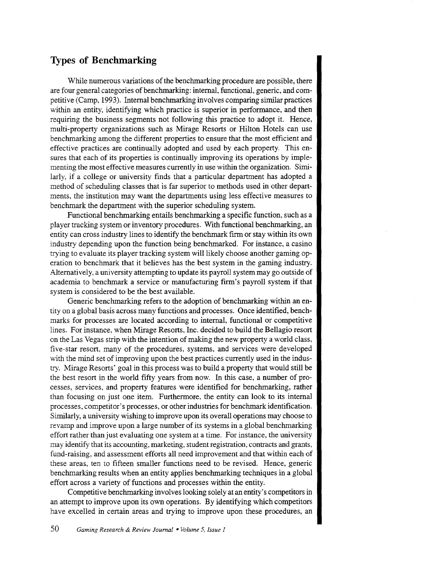#### **Types of Benchmarking**

While numerous variations of the benchmarking procedure are possible, there are four general categories of benchmarking: internal, functional, generic, and competitive (Camp, 1993). Internal benchmarking involves comparing similar practices within an entity, identifying which practice is superior in performance, and then requiring the business segments not following this practice to adopt it. Hence, multi-property organizations such as Mirage Resorts or Hilton Hotels can use benchmarking among the different properties to ensure that the most efficient and effective practices are continually adopted and used by each property. This ensures that each of its properties is continually improving its operations by implementing the most effective measures currently in use within the organization. Similarly, if a college or university finds that a particular department has adopted a method of scheduling classes that is far superior to methods used in other departments, the institution may want the departments using less effective measures to benchmark the department with the superior scheduling system.

Functional benchmarking entails benchmarking a specific function, such as a player tracking system or inventory procedures. With functional benchmarking, an entity can cross industry lines to identify the benchmark firm or stay within its own industry depending upon the function being benchmarked. For instance, a casino trying to evaluate its player tracking system will likely choose another gaming operation to benchmark that it believes has the best system in the gaming industry. Alternatively, a university attempting to update its payroll system may go outside of academia to benchmark a service or manufacturing firm's payroll system if that system is considered to be the best available.

Generic benchmarking refers to the adoption of benchmarking within an entity on a global basis across many functions and processes. Once identified, benchmarks for processes are located according to internal, functional or competitive lines. For instance, when Mirage Resorts, Inc. decided to build the Bellagio resort on the Las Vegas strip with the intention of making the new property a world class, five-star resort, many of the procedures, systems, and services were developed with the mind set of improving upon the best practices currently used in the industry. Mirage Resorts' goal in this process was to build a property that would still be the best resort in the world fifty years from now. In this case, a number of processes, services, and property features were identified for benchmarking, rather than focusing on just one item. Furthermore, the entity can look to its internal processes, competitor's processes, or other industries for benchmark identification. Similarly, a university wishing to improve upon its overall operations may choose to revamp and improve upon a large number of its systems in a global benchmarking effort rather than just evaluating one system at a time. For instance, the university may identify that its accounting, marketing, student registration, contracts and grants, fund-raising, and assessment efforts all need improvement and that within each of these areas, ten to fifteen smaller functions need to be revised. Hence, generic benchmarking results when an entity applies benchmarking techniques in a global effort across a variety of functions and processes within the entity.

Competitive benchmarking involves looking solely at an entity's competitors in an attempt to improve upon its own operations. By identifying which competitors have excelled in certain areas and trying to improve upon these procedures, an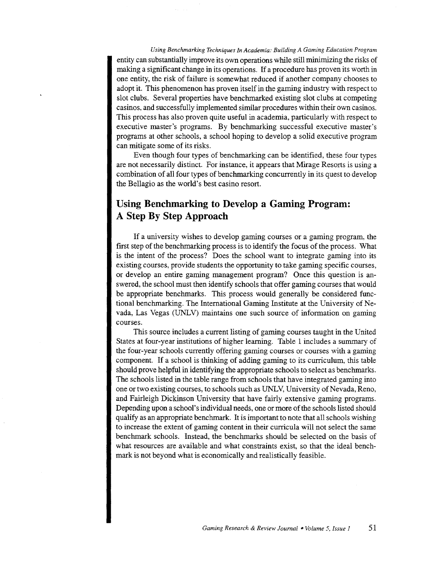*Using Benchmarking Techniques In Academia: Building A Gaming Education Program*  entity can substantially improve its own operations while still minimizing the risks of making a significant change in its operations. If a procedure has proven its worth in one entity, the risk of failure is somewhat reduced if another company chooses to adopt it. This phenomenon has proven itself in the gaming industry with respect to slot clubs. Several properties have benchmarked existing slot clubs at competing casinos, and successfully implemented similar procedures within their own casinos. This process has also proven quite useful in academia, particularly with respect to executive master's programs. By benchmarking successful executive master's programs at other schools, a school hoping to develop a solid executive program can mitigate some of its risks.

Even though four types of benchmarking can be identified, these four types are not necessarily distinct. For instance, it appears that Mirage Resorts is using a combination of all four types of benchmarking concurrently in its quest to develop the Bellagio as the world's best casino resort.

### **Using Benchmarking to Develop a Gaming Program: A Step By Step Approach**

If a university wishes to develop gaming courses or a gaming program, the first step of the benchmarking process is to identify the focus of the process. What is the intent of the process? Does the school want to integrate gaming into its existing courses, provide students the opportunity to take gaming specific courses, or develop an entire gaming management program? Once this question is answered, the school must then identify schools that offer gaming courses that would be appropriate benchmarks. This process would generally be considered functional benchmarking. The International Gaming Institute at the University of Nevada, Las Vegas (UNLV) maintains one such source of information on gaming courses.

This source includes a current listing of gaming courses taught in the United States at four-year institutions of higher learning. Table 1 includes a summary of the four-year schools currently offering gaming courses or courses with a gaming component. If a school is thinking of adding gaming to its curriculum, this table should prove helpful in identifying the appropriate schools to select as benchmarks. The schools listed in the table range from schools that have integrated gaming into one or two existing courses, to schools such as UNLV, University of Nevada, Reno, and Fairleigh Dickinson University that have fairly extensive gaming programs. Depending upon a school's individual needs, one or more of the schools listed should qualify as an appropriate benchmark. It is important to note that all schools wishing to increase the extent of gaming content in their curricula will not select the same benchmark schools. Instead, the benchmarks should be selected on the basis of what resources are available and what constraints exist, so that the ideal benchmark is not beyond what is economically and realistically feasible.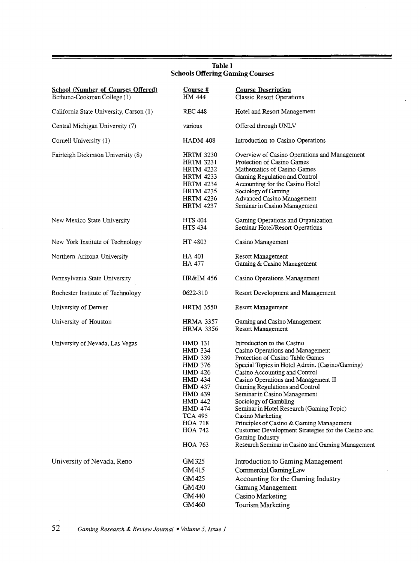| <b>School (Number of Courses Offered)</b><br>Bethune-Cookman College (1) | Course #<br>HM 444                                                                                                                                                                                                           | <b>Course Description</b><br><b>Classic Resort Operations</b>                                                                                                                                                                                                                                                                                                                                                                                                                                                                                                    |
|--------------------------------------------------------------------------|------------------------------------------------------------------------------------------------------------------------------------------------------------------------------------------------------------------------------|------------------------------------------------------------------------------------------------------------------------------------------------------------------------------------------------------------------------------------------------------------------------------------------------------------------------------------------------------------------------------------------------------------------------------------------------------------------------------------------------------------------------------------------------------------------|
| California State University, Carson (1)                                  | <b>REC 448</b>                                                                                                                                                                                                               | Hotel and Resort Management                                                                                                                                                                                                                                                                                                                                                                                                                                                                                                                                      |
| Central Michigan University (7)                                          | various                                                                                                                                                                                                                      | Offered through UNLV                                                                                                                                                                                                                                                                                                                                                                                                                                                                                                                                             |
| Cornell University (1)                                                   | <b>HADM 408</b>                                                                                                                                                                                                              | Introduction to Casino Operations                                                                                                                                                                                                                                                                                                                                                                                                                                                                                                                                |
| Fairleigh Dickinson University (8)                                       | <b>HRTM 3230</b><br><b>HRTM 3231</b><br><b>HRTM 4232</b><br><b>HRTM 4233</b><br><b>HRTM 4234</b><br><b>HRTM 4235</b><br><b>HRTM 4236</b><br><b>HRTM 4237</b>                                                                 | Overview of Casino Operations and Management<br>Protection of Casino Games<br>Mathematics of Casino Games<br>Gaming Regulation and Control<br>Accounting for the Casino Hotel<br>Sociology of Gaming<br><b>Advanced Casino Management</b><br>Seminar in Casino Management                                                                                                                                                                                                                                                                                        |
| New Mexico State University                                              | <b>HTS 404</b><br><b>HTS 434</b>                                                                                                                                                                                             | Gaming Operations and Organization<br>Seminar Hotel/Resort Operations                                                                                                                                                                                                                                                                                                                                                                                                                                                                                            |
| New York Institute of Technology                                         | HT 4803                                                                                                                                                                                                                      | Casino Management                                                                                                                                                                                                                                                                                                                                                                                                                                                                                                                                                |
| Northern Arizona University                                              | HA 401<br>HA 477                                                                                                                                                                                                             | Resort Management<br>Gaming & Casino Management                                                                                                                                                                                                                                                                                                                                                                                                                                                                                                                  |
| Pennsylvania State University                                            | HR&IM 456                                                                                                                                                                                                                    | Casino Operations Management                                                                                                                                                                                                                                                                                                                                                                                                                                                                                                                                     |
| Rochester Institute of Technology                                        | 0622-310                                                                                                                                                                                                                     | Resort Development and Management                                                                                                                                                                                                                                                                                                                                                                                                                                                                                                                                |
| University of Denver                                                     | <b>HRTM 3550</b>                                                                                                                                                                                                             | Resort Management                                                                                                                                                                                                                                                                                                                                                                                                                                                                                                                                                |
| University of Houston                                                    | <b>HRMA 3357</b><br><b>HRMA 3356</b>                                                                                                                                                                                         | Gaming and Casino Management<br>Resort Management                                                                                                                                                                                                                                                                                                                                                                                                                                                                                                                |
| University of Nevada, Las Vegas                                          | <b>HMD 131</b><br><b>HMD 334</b><br><b>HMD 339</b><br><b>HMD 376</b><br>HMD 426<br><b>HMD 434</b><br><b>HMD 437</b><br>HMD 439<br><b>HMD 442</b><br><b>HMD 474</b><br><b>TCA 495</b><br>HOA 718<br>HOA 742<br><b>HOA 763</b> | Introduction to the Casino<br>Casino Operations and Management<br>Protection of Casino Table Games<br>Special Topics in Hotel Admin. (Casino/Gaming)<br>Casino Accounting and Control<br>Casino Operations and Management II<br>Gaming Regulations and Control<br>Seminar in Casino Management<br>Sociology of Gambling<br>Seminar in Hotel Research (Gaming Topic)<br>Casino Marketing<br>Principles of Casino & Gaming Management<br>Customer Development Strategies for the Casino and<br>Gaming Industry<br>Research Seminar in Casino and Gaming Management |
| University of Nevada, Reno                                               | GM 325<br>GM415<br>GM425<br>GM 430<br>GM 440<br>GM 460                                                                                                                                                                       | Introduction to Gaming Management<br>Commercial Gaming Law<br>Accounting for the Gaming Industry<br>Gaming Management<br>Casino Marketing<br>Tourism Marketing                                                                                                                                                                                                                                                                                                                                                                                                   |

#### Tablel Schools Offering Gaming Courses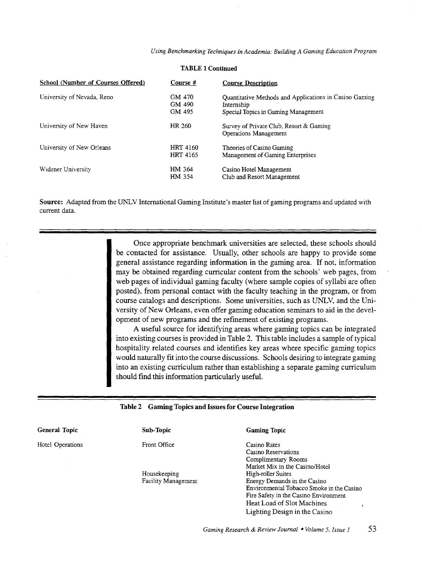*Using Benchmarking Techniques In Academia: Building A Gaming Education Program* 

| School (Number of Courses Offered) | Course #                           | <b>Course Description</b>                                                                                   |
|------------------------------------|------------------------------------|-------------------------------------------------------------------------------------------------------------|
| University of Nevada, Reno         | GM 470<br>GM 490<br>GM 495         | Quantitative Methods and Applications in Casino Gaming<br>Internship<br>Special Topics in Gaming Management |
| University of New Haven            | HR 260                             | Survey of Private Club, Resort & Gaming<br>Operations Management                                            |
| University of New Orleans          | <b>HRT 4160</b><br><b>HRT 4165</b> | Theories of Casino Gaming<br>Management of Gaming Enterprises                                               |
| Widener University                 | HM 364<br>HM 354                   | Casino Hotel Management<br>Club and Resort Management                                                       |

#### TABLE 1 Continued

Source: Adapted from the UNLV International Gaming Institute's master list of gaming programs and updated with current data.

> Once appropriate benchmark universities are selected, these schools should be contacted for assistance. Usually, other schools are happy to provide some general assistance regarding information in the gaming area. If not, information may be obtained regarding curricular content from the schools' web pages, from web pages of individual gaming faculty (where sample copies of syllabi are often posted), from personal contact with the faculty teaching in the program, or from course catalogs and descriptions. Some universities, such as UNLV, and the University of New Orleans, even offer gaming education seminars to aid in the development of new programs and the refinement of existing programs.

> A useful source for identifying areas where gaming topics can be integrated into existing courses is provided in Table 2. This table includes a sample of typical hospitality related courses and identifies key areas where specific gaming topics would naturally fit into the course discussions. Schools desiring to integrate gaming into an existing curriculum rather than establishing a separate gaming curriculum should find this information particularly useful.

#### Table 2 Gaming Topics and Issues for Course Integration

| General Topic    | Sub-Topic                  | <b>Gaming Topic</b>                       |
|------------------|----------------------------|-------------------------------------------|
| Hotel Operations | Front Office               | Casino Rates                              |
|                  |                            | Casino Reservations                       |
|                  |                            | Complimentary Rooms                       |
|                  |                            | Market Mix in the Casino/Hotel            |
|                  | Housekeeping               | High-roller Suites                        |
|                  | <b>Facility Management</b> | Energy Demands in the Casino              |
|                  |                            | Environmental Tobacco Smoke in the Casino |
|                  |                            | Fire Safety in the Casino Environment     |
|                  |                            | Heat Load of Slot Machines                |
|                  |                            | Lighting Design in the Casino             |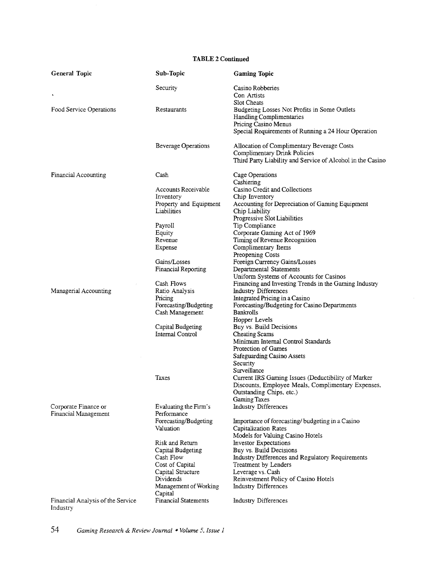#### TABLE 2 Continued

| <b>General Topic</b>                         | Sub-Topic                              | <b>Gaming Topic</b>                                                               |
|----------------------------------------------|----------------------------------------|-----------------------------------------------------------------------------------|
|                                              | Security                               | Casino Robberies                                                                  |
| ٠                                            |                                        | Con Artists                                                                       |
|                                              |                                        | Slot Cheats                                                                       |
| Food Service Operations                      | Restaurants                            | Budgeting Losses Not Profits in Some Outlets<br>Handling Complimentaries          |
|                                              |                                        | Pricing Casino Menus                                                              |
|                                              |                                        | Special Requirements of Running a 24 Hour Operation                               |
|                                              | <b>Beverage Operations</b>             | Allocation of Complimentary Beverage Costs<br><b>Complimentary Drink Policies</b> |
|                                              |                                        | Third Party Liability and Service of Alcohol in the Casino                        |
| Financial Accounting                         | Cash                                   | Cage Operations                                                                   |
|                                              |                                        | Cashiering                                                                        |
|                                              | Accounts Receivable                    | Casino Credit and Collections                                                     |
|                                              | Inventory                              | Chip Inventory                                                                    |
|                                              | Property and Equipment                 | Accounting for Depreciation of Gaming Equipment                                   |
|                                              | Liabilities                            | Chip Liability                                                                    |
|                                              |                                        | Progressive Slot Liabilities                                                      |
|                                              | Payroll                                | Tip Compliance                                                                    |
|                                              | Equity                                 | Corporate Gaming Act of 1969                                                      |
|                                              | Revenue                                | Timing of Revenue Recognition                                                     |
|                                              | Expense                                | Complimentary Items                                                               |
|                                              | Gains/Losses                           | Preopening Costs                                                                  |
|                                              | Financial Reporting                    | Foreign Currency Gains/Losses                                                     |
|                                              |                                        | Departmental Statements<br>Uniform Systems of Accounts for Casinos                |
|                                              | Cash Flows                             | Financing and Investing Trends in the Gaming Industry                             |
| Managerial Accounting                        | Ratio Analysis                         | <b>Industry Differences</b>                                                       |
|                                              | Pricing                                | Integrated Pricing in a Casino                                                    |
|                                              | Forecasting/Budgeting                  | Forecasting/Budgeting for Casino Departments                                      |
|                                              | Cash Management                        | <b>Bankrolls</b>                                                                  |
|                                              |                                        | Hopper Levels                                                                     |
|                                              | Capital Budgeting                      | Buy vs. Build Decisions                                                           |
|                                              | Internal Control                       | Cheating Scams                                                                    |
|                                              |                                        | Minimum Internal Control Standards                                                |
|                                              |                                        | Protection of Games                                                               |
|                                              |                                        | Safeguarding Casino Assets                                                        |
|                                              |                                        | Security                                                                          |
|                                              |                                        | Surveillance                                                                      |
|                                              | Taxes                                  | Current IRS Gaming Issues (Deductibility of Marker                                |
|                                              |                                        | Discounts, Employee Meals, Complimentary Expenses,                                |
|                                              |                                        | Outstanding Chips, etc.)                                                          |
|                                              |                                        | Gaming Taxes                                                                      |
| Corporate Finance or<br>Financial Management | Evaluating the Firm's<br>Performance   | <b>Industry Differences</b>                                                       |
|                                              | Forecasting/Budgeting                  | Importance of forecasting/budgeting in a Casino                                   |
|                                              | Valuation                              | Capitalization Rates                                                              |
|                                              |                                        | Models for Valuing Casino Hotels                                                  |
|                                              | Risk and Return                        | <b>Investor Expectations</b>                                                      |
|                                              | Capital Budgeting                      | Buy vs. Build Decisions                                                           |
|                                              | Cash Flow                              | Industry Differences and Regulatory Requirements                                  |
|                                              | Cost of Capital                        | Treatment by Lenders                                                              |
|                                              | Capital Structure                      | Leverage vs. Cash                                                                 |
|                                              | Dividends                              | Reinvestment Policy of Casino Hotels                                              |
|                                              | Management of Working                  | Industry Differences                                                              |
| Financial Analysis of the Service            | Capital<br><b>Financial Statements</b> | Industry Differences                                                              |
| Industry                                     |                                        |                                                                                   |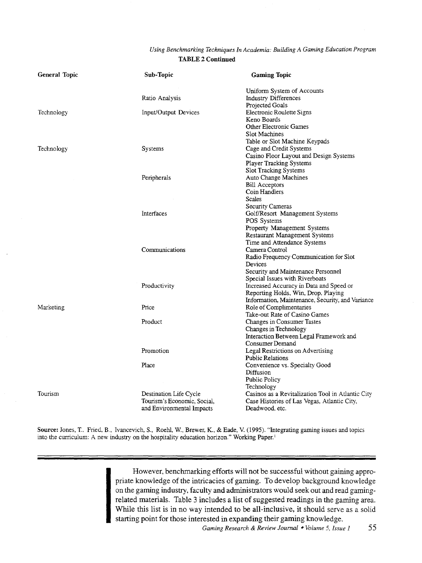#### *Using Benchmarking Techniques In Academia: Building A Gaming Education Program*  TABLE 2 Continued

| General Topic | Sub-Topic                                                                          | <b>Gaming Topic</b>                                                                                                                |
|---------------|------------------------------------------------------------------------------------|------------------------------------------------------------------------------------------------------------------------------------|
|               | Ratio Analysis                                                                     | Uniform System of Accounts<br><b>Industry Differences</b>                                                                          |
| Technology    | Input/Output Devices                                                               | Projected Goals<br>Electronic Roulette Signs<br>Keno Boards                                                                        |
|               |                                                                                    | <b>Other Electronic Games</b><br>Slot Machines                                                                                     |
| Technology    | Systems                                                                            | Table or Slot Machine Keypads<br>Cage and Credit Systems<br>Casino Floor Layout and Design Systems                                 |
|               |                                                                                    | Player Tracking Systems<br><b>Slot Tracking Systems</b>                                                                            |
|               | Peripherals                                                                        | Auto Change Machines<br><b>Bill Acceptors</b><br>Coin Handlers                                                                     |
|               |                                                                                    | <b>Scales</b><br>Security Cameras                                                                                                  |
|               | <b>Interfaces</b>                                                                  | Golf/Resort Management Systems<br>POS Systems<br>Property Management Systems                                                       |
|               |                                                                                    | Restaurant Management Systems<br>Time and Attendance Systems                                                                       |
|               | Communications                                                                     | Camera Control<br>Radio Frequency Communication for Slot<br>Devices                                                                |
|               |                                                                                    | Security and Maintenance Personnel<br>Special Issues with Riverboats                                                               |
|               | Productivity                                                                       | Increased Accuracy in Data and Speed or<br>Reporting Holds, Win, Drop, Playing<br>Information, Maintenance, Security, and Variance |
| Marketing     | Price                                                                              | Role of Complimentaries<br>Take-out Rate of Casino Games                                                                           |
|               | Product                                                                            | Changes in Consumer Tastes<br>Changes in Technology                                                                                |
|               | Promotion                                                                          | Interaction Between Legal Framework and<br>Consumer Demand<br>Legal Restrictions on Advertising                                    |
|               | Place                                                                              | <b>Public Relations</b><br>Convenience vs. Specialty Good<br>Diffusion                                                             |
|               |                                                                                    | <b>Public Policy</b><br>Technology                                                                                                 |
| Tourism       | Destination Life Cycle<br>Tourism's Economic, Social,<br>and Environmental Impacts | Casinos as a Revitalization Tool in Atlantic City<br>Case Histories of Las Vegas, Atlantic City,<br>Deadwood, etc.                 |

Source: Jones, T., Fried, B., Ivancevich, S., Roehl, W., Brewer, K., & Eade, V. (1995). "Integrating gaming issues and topics into the curriculum: A new industry on the hospitality education horizon." Working Paper.<sup>1</sup>

> However, benchmarking efforts will not be successful without gaining appropriate knowledge of the intricacies of gaming. To develop background knowledge on the gaming industry, faculty and administrators would seek out and read gamingrelated materials. Table 3 includes a list of suggested readings in the gaming area. While this list is in no way intended to be all-inclusive, it should serve as a solid starting point for those interested in expanding their gaming knowledge.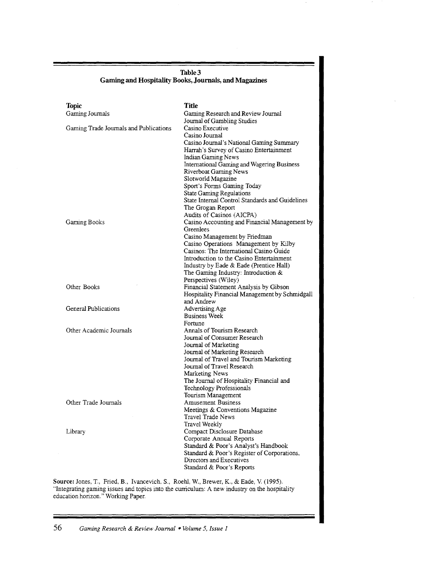#### **Table3 Gaming and Hospitality Books, Journals, and Magazines**

| <b>Topic</b><br>Gaming Journals        | Title<br>Gaming Research and Review Journal                                                                                                                                                                                                                                            |
|----------------------------------------|----------------------------------------------------------------------------------------------------------------------------------------------------------------------------------------------------------------------------------------------------------------------------------------|
| Gaming Trade Journals and Publications | Journal of Gambling Studies<br>Casino Executive<br>Casino Journal<br>Casino Journal's National Gaming Summary<br>Harrah's Survey of Casino Entertainment                                                                                                                               |
|                                        | Indian Gaming News<br>International Gaming and Wagering Business<br>Riverboat Gaming News<br>Slotworld Magazine<br>Sport's Forms Gaming Today<br><b>State Gaming Regulations</b><br>State Internal Control Standards and Guidelines                                                    |
| Gaming Books                           | The Grogan Report<br>Audits of Casinos (AICPA)<br>Casino Accounting and Financial Management by<br>Greenlees                                                                                                                                                                           |
|                                        | Casino Management by Friedman<br>Casino Operations Management by Kilby<br>Casinos: The International Casino Guide<br>Introduction to the Casino Entertainment<br>Industry by Eade & Eade (Prentice Hall)<br>The Gaming Industry: Introduction &<br>Perspectives (Wiley)                |
| Other Books                            | Financial Statement Analysis by Gibson<br>Hospitality Financial Management by Schmidgall<br>and Andrew                                                                                                                                                                                 |
| General Publications                   | Advertising Age<br><b>Business Week</b><br>Fortune                                                                                                                                                                                                                                     |
| Other Academic Journals                | Annals of Tourism Research<br>Journal of Consumer Research<br>Journal of Marketing<br>Journal of Marketing Research<br>Journal of Travel and Tourism Marketing<br>Journal of Travel Research<br>Marketing News<br>The Journal of Hospitality Financial and<br>Technology Professionals |
| Other Trade Journals                   | Tourism Management<br><b>Amusement Business</b><br>Meetings & Conventions Magazine<br><b>Travel Trade News</b>                                                                                                                                                                         |
| Library                                | Travel Weekly<br>Compact Disclosure Database<br>Corporate Annual Reports<br>Standard & Poor's Analyst's Handbook<br>Standard & Poor's Register of Corporations,<br>Directors and Executives<br>Standard & Poor's Reports                                                               |

**Source:** Jones, T., Fried, **B.,** Ivancevich. S., Roehl, W., Brewer, K., & Eade, V (1995). "Integrating gaming issues and topics into the curriculum: A new industry on the hospitality education horizon." Working Paper.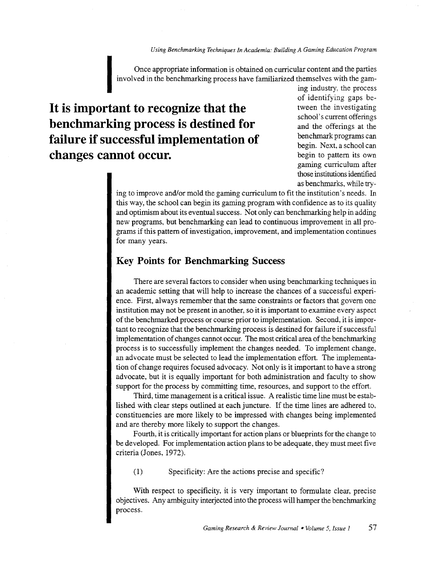*Using Benchmarking Techniques In Academia: Building A Gaming Education Program* 

Once appropriate information is obtained on curricular content and the parties involved in the benchmarking process have familiarized themselves with the gam-

# **It is important to recognize that the benchmarking process is destined for failure if successful implementation of changes cannot occur.**

ing industry, the process of identifying gaps between the investigating school's current offerings and the offerings at the benchmark programs can begin. Next, a school can begin to pattern its own gaming curriculum after those institutions identified as benchmarks, while try-

ing to improve and/or mold the gaming curriculum to fit the institution's needs. In this way, the school can begin its gaming program with confidence as to its quality and optimism about its eventual success. Not only can benchmarking help in adding new programs, but benchmarking can lead to continuous improvement in all programs if this pattern of investigation, improvement, and implementation continues for many years.

#### **Key Points for Benchmarking Success**

There are several factors to consider when using benchmarking techniques in an academic setting that will help to increase the chances of a successful experience. First, always remember that the same constraints or factors that govern one institution may not be present in another, so it is important to examine every aspect of the benchmarked process or course prior to implementation. Second, it is important to recognize that the benchmarking process is destined for failure if successful implementation of changes cannot occur. The most critical area of the benchmarking process is to successfully implement the changes needed. To implement change, an advocate must be selected to lead the implementation effort. The implementation of change requires focused advocacy. Not only is it important to have a strong advocate, but it is equally important for both administration and faculty to show support for the process by committing time, resources, and support to the effort.

Third, time management is a critical issue. A realistic time line must be established with clear steps outlined at each juncture. If the time lines are adhered to, constituencies are more likely to be impressed with changes being implemented and are thereby more likely to support the changes.

Fourth, it is critically important for action plans or blueprints for the change to be developed. For implementation action plans to be adequate, they must meet five criteria (Jones, 1972).

(1) Specificity: Are the actions precise and specific?

With respect to specificity, it is very important to formulate clear, precise objectives. Any ambiguity interjected into the process will hamper the benchmarking process.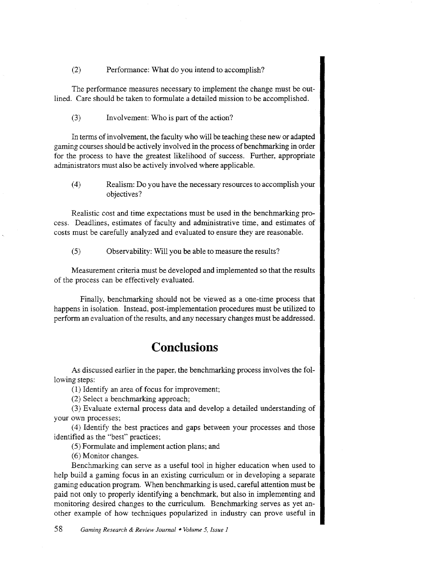(2) Performance: What do you intend to accomplish?

The performance measures necessary to implement the change must be outlined. Care should be taken to formulate a detailed mission to be accomplished.

(3) Involvement: Who is part of the action?

In terms of involvement, the faculty who will be teaching these new or adapted gaming courses should be actively involved in the process of benchmarking in order for the process to have the greatest likelihood of success. Further, appropriate administrators must also be actively involved where applicable.

( 4) Realism: Do you have the necessary resources to accomplish your objectives?

Realistic cost and time expectations must be used in the benchmarking process. Deadlines, estimates of faculty and administrative time, and estimates of costs must be carefully analyzed and evaluated to ensure they are reasonable.

(5) Observability: Will you be able to measure the results?

Measurement criteria must be developed and implemented so that the results of the process can be effectively evaluated.

Finally, benchmarking should not be viewed as a one-time process that happens in isolation. Instead, post-implementation procedures must be utilized to perform an evaluation of the results, and any necessary changes must be addressed.

# **Conclusions**

As discussed earlier in the paper, the benchmarking process involves the following steps:

(1) Identify an area of focus for improvement;

(2) Select a benchmarking approach;

(3) Evaluate external process data and develop a detailed understanding of your own processes;

( 4) Identify the best practices and gaps between your processes and those identified as the "best" practices;

(5) Formulate and implement action plans; and

(6) Monitor changes.

Benchmarking can serve as a useful tool in higher education when used to help build a gaming focus in an existing curriculum or in developing a separate gaming education program. When benchmarking is used, careful attention must be paid not only to properly identifying a benchmark, but also in implementing and monitoring desired changes to the curriculum. Benchmarking serves as yet another example of how techniques popularized in industry can prove useful in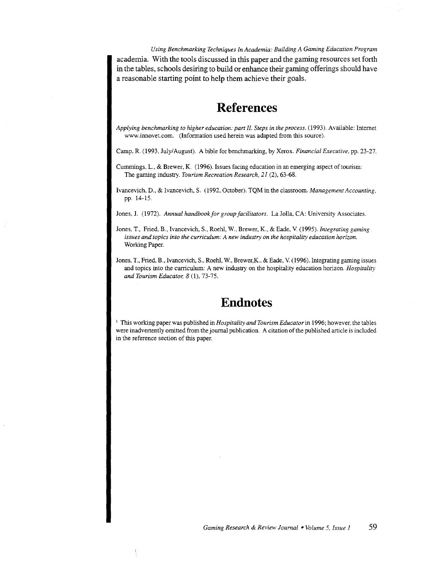*Using Benchmarking Techniques In Academia: Building A Gaming Education Program*  academia. With the tools discussed in this paper and the gaming resources set forth in the tables, schools desiring to build or enhance their gaming offerings should have a reasonable starting point to help them achieve their goals.

# **References**

*Applying benchmarking to higher education: part* II. *Steps in the process.* (1993). Available: Internet www.innovet.com. (Information used herein was adapted from this source).

Camp, R. (1993, July/August). A bible for benchmarking, by Xerox. *Financial Executive,* pp. 23-27.

- Cummings, L., & Brewer, K. (1996). Issues facing education in an emerging aspect of tourism: The gaming industry. *Tourism Recreation Research, 21* (2), 63-68.
- Ivancevich, D., & Ivancevich, S. (1992, October). TQM in the classroom. *Management Accounting,*  pp. 14-15.

Jones, J. (1972). *Annual handbook for group facilitators.* La Jolla, CA: University Associates.

- Jones, T., Fried, B., Ivancevich, S., Roehl, W., Brewer, K., & Eade, V. *(1995).Integrating gaming. issues and topics into the curriculum: A new industry on the hospitality education horizon.*  Working Paper.
- Jones, T., Fried, B., Ivancevich, S., Roehl, W., Brewer,K., & Eade, V. (1996). Integrating gaming issues and topics into the curriculum: A new industry on the hospitality education horizon. *Hospitality and Tourism Educator; 8* (1), 73-75.

# **Endnotes**

1 This working paper was published in *Hospitality and Tourism Educator* in 1996; however, the tables were inadvertently omitted from the journal publication. A citation of the published article is included in the reference section of this paper.